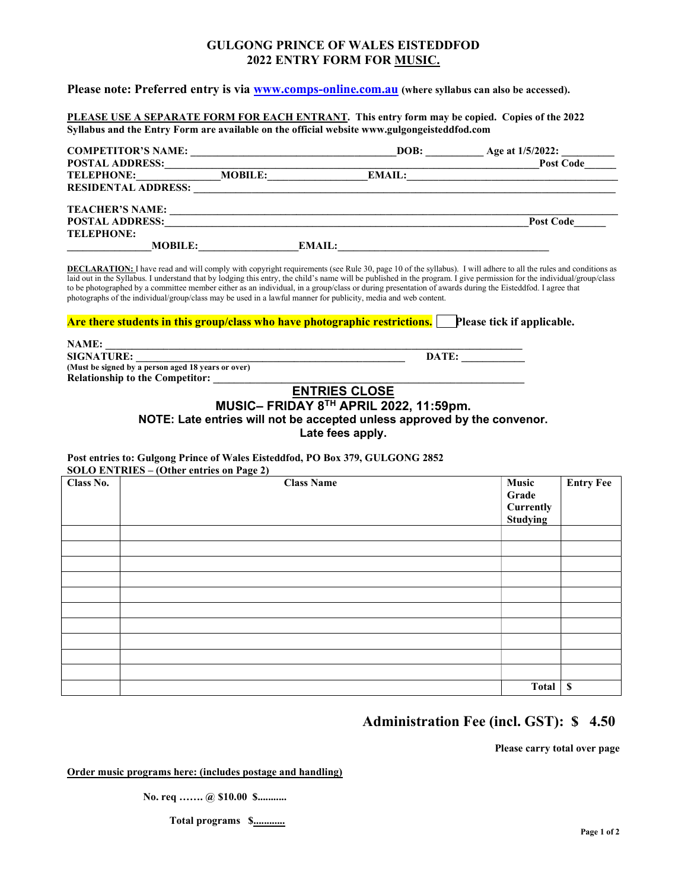# GULGONG PRINCE OF WALES EISTEDDFOD 2022 ENTRY FORM FOR MUSIC.

Please note: Preferred entry is via www.comps-online.com.au (where syllabus can also be accessed).

PLEASE USE A SEPARATE FORM FOR EACH ENTRANT. This entry form may be copied. Copies of the 2022 Syllabus and the Entry Form are available on the official website www.gulgongeisteddfod.com

| <b>COMPETITOR'S NAME:</b>  |                |               | DOB:          | Age at 1/5/2022: |
|----------------------------|----------------|---------------|---------------|------------------|
| <b>POSTAL ADDRESS:</b>     |                |               |               | <b>Post Code</b> |
| <b>TELEPHONE:</b>          | <b>MOBILE:</b> |               | <b>EMAIL:</b> |                  |
| <b>RESIDENTAL ADDRESS:</b> |                |               |               |                  |
| <b>TEACHER'S NAME:</b>     |                |               |               |                  |
| <b>POSTAL ADDRESS:</b>     |                |               |               | <b>Post Code</b> |
| <b>TELEPHONE:</b>          |                |               |               |                  |
| <b>MOBILE:</b>             |                | <b>EMAIL:</b> |               |                  |

DECLARATION: I have read and will comply with copyright requirements (see Rule 30, page 10 of the syllabus). I will adhere to all the rules and conditions as laid out in the Syllabus. I understand that by lodging this entry, the child's name will be published in the program. I give permission for the individual/group/class to be photographed by a committee member either as an individual, in a group/class or during presentation of awards during the Eisteddfod. I agree that photographs of the individual/group/class may be used in a lawful manner for publicity, media and web content.

#### Are there students in this group/class who have photographic restrictions. Please tick if applicable.

| NAME:                                              |       |
|----------------------------------------------------|-------|
| <b>SIGNATURE:</b>                                  | DATE: |
| (Must be signed by a person aged 18 years or over) |       |
| <b>Relationship to the Competitor:</b>             |       |

# ENTRIES CLOSE

MUSIC– FRIDAY 8TH APRIL 2022, 11:59pm.

NOTE: Late entries will not be accepted unless approved by the convenor.

Late fees apply.

#### Post entries to: Gulgong Prince of Wales Eisteddfod, PO Box 379, GULGONG 2852  $SOLO$  ENTRIES –  $O$ ther entries on Page 2)

|           | $50L0$ ENTIRES (Other entries on Fage 2)                                   |                  |
|-----------|----------------------------------------------------------------------------|------------------|
| Class No. | Music<br><b>Class Name</b><br>Grade<br><b>Currently</b><br><b>Studying</b> | <b>Entry Fee</b> |
|           |                                                                            |                  |
|           |                                                                            |                  |
|           |                                                                            |                  |
|           |                                                                            |                  |
|           |                                                                            |                  |
|           |                                                                            |                  |
|           |                                                                            |                  |
|           |                                                                            |                  |
|           |                                                                            |                  |
|           |                                                                            |                  |
|           | <b>Total</b>                                                               | $\mathbf S$      |

# Administration Fee (incl. GST): \$ 4.50

Please carry total over page

Order music programs here: (includes postage and handling)

No. req ....... @ \$10.00 \$...........

Total programs \$.............